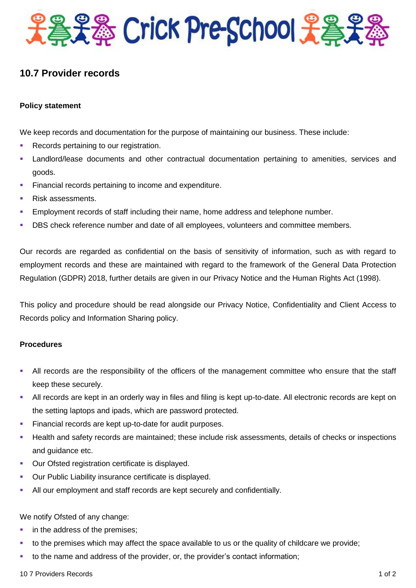

# **10.7 Provider records**

## **Policy statement**

We keep records and documentation for the purpose of maintaining our business. These include:

- Records pertaining to our registration.
- Landlord/lease documents and other contractual documentation pertaining to amenities, services and goods.
- **Financial records pertaining to income and expenditure.**
- Risk assessments.
- Employment records of staff including their name, home address and telephone number.
- **DBS** check reference number and date of all employees, volunteers and committee members.

Our records are regarded as confidential on the basis of sensitivity of information, such as with regard to employment records and these are maintained with regard to the framework of the General Data Protection Regulation (GDPR) 2018, further details are given in our Privacy Notice and the Human Rights Act (1998).

This policy and procedure should be read alongside our Privacy Notice, Confidentiality and Client Access to Records policy and Information Sharing policy.

### **Procedures**

- All records are the responsibility of the officers of the management committee who ensure that the staff keep these securely.
- All records are kept in an orderly way in files and filing is kept up-to-date. All electronic records are kept on the setting laptops and ipads, which are password protected.
- Financial records are kept up-to-date for audit purposes.
- Health and safety records are maintained; these include risk assessments, details of checks or inspections and guidance etc.
- **Our Ofsted registration certificate is displayed.**
- **Our Public Liability insurance certificate is displayed.**
- All our employment and staff records are kept securely and confidentially.

### We notify Ofsted of any change:

- **i** in the address of the premises;
- to the premises which may affect the space available to us or the quality of childcare we provide;
- to the name and address of the provider, or, the provider's contact information;

#### 10 7 Providers Records 1 of 2